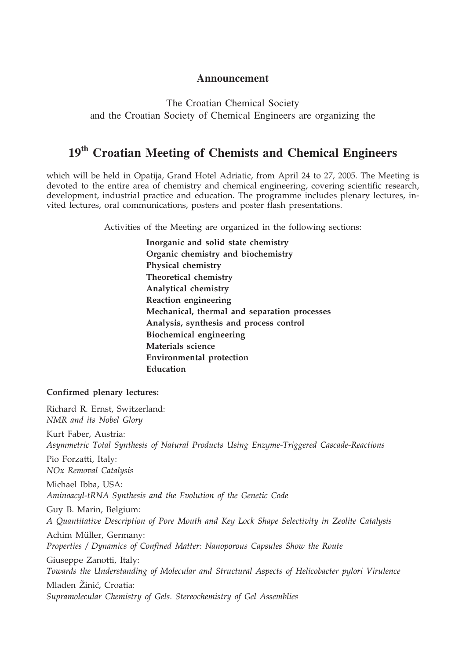## **Announcement**

The Croatian Chemical Society and the Croatian Society of Chemical Engineers are organizing the

# **19th Croatian Meeting of Chemists and Chemical Engineers**

which will be held in Opatija, Grand Hotel Adriatic, from April 24 to 27, 2005. The Meeting is devoted to the entire area of chemistry and chemical engineering, covering scientific research, development, industrial practice and education. The programme includes plenary lectures, invited lectures, oral communications, posters and poster flash presentations.

Activities of the Meeting are organized in the following sections:

**Inorganic and solid state chemistry Organic chemistry and biochemistry Physical chemistry Theoretical chemistry Analytical chemistry Reaction engineering Mechanical, thermal and separation processes Analysis, synthesis and process control Biochemical engineering Materials science Environmental protection Education**

## **Confirmed plenary lectures:**

Richard R. Ernst, Switzerland: *NMR and its Nobel Glory* Kurt Faber, Austria: *Asymmetric Total Synthesis of Natural Products Using Enzyme-Triggered Cascade-Reactions* Pio Forzatti, Italy: *NOx Removal Catalysis* Michael Ibba, USA: *Aminoacyl-tRNA Synthesis and the Evolution of the Genetic Code* Guy B. Marin, Belgium: *A Quantitative Description of Pore Mouth and Key Lock Shape Selectivity in Zeolite Catalysis* Achim Müller, Germany: *Properties / Dynamics of Confined Matter: Nanoporous Capsules Show the Route* Giuseppe Zanotti, Italy: *Towards the Understanding of Molecular and Structural Aspects of Helicobacter pylori Virulence* Mladen Žinić, Croatia: *Supramolecular Chemistry of Gels. Stereochemistry of Gel Assemblies*